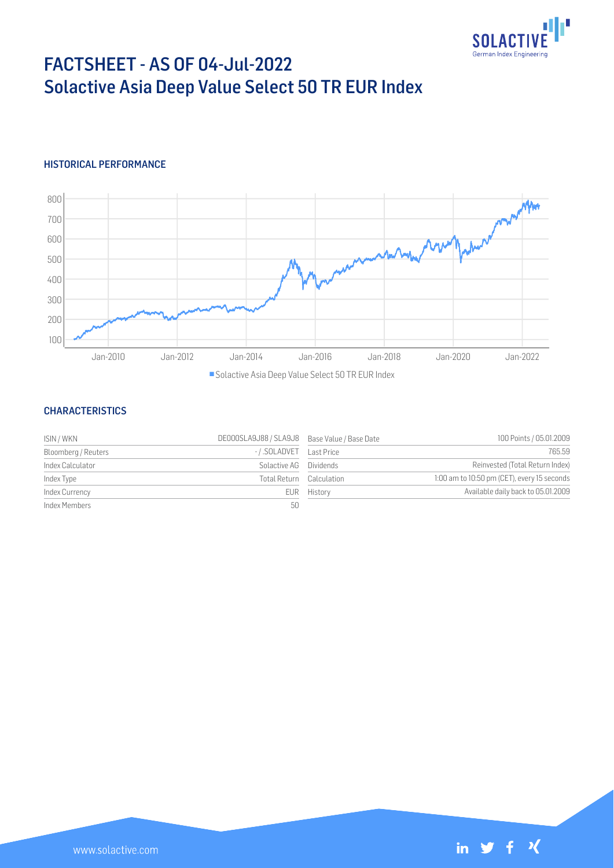

# FACTSHEET - AS OF 04-Jul-2022 Solactive Asia Deep Value Select 50 TR EUR Index

## HISTORICAL PERFORMANCE



Solactive Asia Deep Value Select 50 TR EUR Index

## **CHARACTERISTICS**

| ISIN / WKN          | DE000SLA9J88 / SLA9J8 Base Value / Base Date |             | 100 Points / 05.01.2009                     |
|---------------------|----------------------------------------------|-------------|---------------------------------------------|
| Bloomberg / Reuters |                                              |             | 765.59                                      |
| Index Calculator    | Solactive AG                                 | Dividends   | Reinvested (Total Return Index)             |
| Index Type          | Total Return Calculation                     |             | 1:00 am to 10:50 pm (CET), every 15 seconds |
| Index Currency      |                                              | EUR History | Available daily back to 05.01.2009          |
| Index Members       | 50                                           |             |                                             |

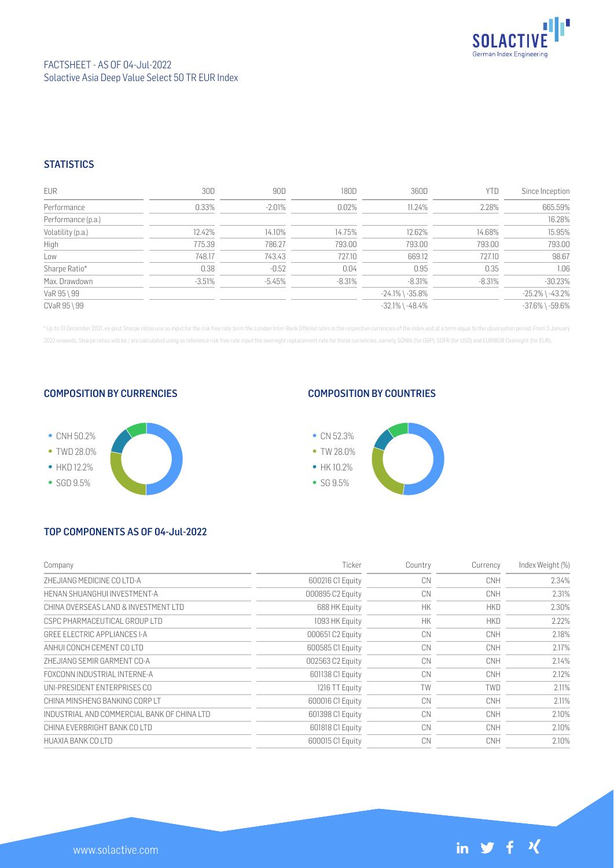

## **STATISTICS**

| <b>EUR</b>         | 30D      | 90D      | 180D     | 360D                  | YTD      | Since Inception       |
|--------------------|----------|----------|----------|-----------------------|----------|-----------------------|
| Performance        | 0.33%    | $-2.01%$ | 0.02%    | 11.24%                | 2.28%    | 665.59%               |
| Performance (p.a.) |          |          |          |                       |          | 16.28%                |
| Volatility (p.a.)  | 12.42%   | 14.10%   | 14.75%   | 12.62%                | 14.68%   | 15.95%                |
| High               | 775.39   | 786.27   | 793.00   | 793.00                | 793.00   | 793.00                |
| Low                | 748.17   | 743.43   | 727.10   | 669.12                | 727.10   | 98.67                 |
| Sharpe Ratio*      | 0.38     | $-0.52$  | 0.04     | 0.95                  | 0.35     | 1.06                  |
| Max. Drawdown      | $-3.51%$ | $-5.45%$ | $-8.31%$ | $-8.31%$              | $-8.31%$ | $-30.23%$             |
| VaR 95 \ 99        |          |          |          | $-24.1\%$ \ $-35.8\%$ |          | $-25.2\%$ \ $-43.2\%$ |
| CVaR 95 \ 99       |          |          |          | $-32.1\%$ \ $-48.4\%$ |          | $-37.6\%$ \ $-59.6\%$ |

\* Up to 31 December 2021, ex-post Sharpe ratios use as input for the risk free rate term the London Inter-Bank Offered rates in the respective currencies of the index and at a term equal to the observation period. From 3 J 2022 onwards, Sharpe ratios will be / are calculated using as reference risk free rate input the overnight replacement rate for these currencies, namely SONIA (for GBP), SOFR (for USD) and EURIBOR Overnight (for EUR).

#### COMPOSITION BY CURRENCIES



### COMPOSITION BY COUNTRIES



# TOP COMPONENTS AS OF 04-Jul-2022

| Company                                     | Ticker           | Country   | Currency   | Index Weight (%) |
|---------------------------------------------|------------------|-----------|------------|------------------|
| ZHEJIANG MEDICINE CO LTD-A                  | 600216 C1 Equity | CN        | <b>CNH</b> | 2.34%            |
| HENAN SHUANGHUI INVESTMENT-A                | 000895 C2 Equity | CN        | <b>CNH</b> | 2.31%            |
| CHINA OVERSEAS LAND & INVESTMENT LTD        | 688 HK Equity    | <b>HK</b> | <b>HKD</b> | 2.30%            |
| CSPC PHARMACEUTICAL GROUP LTD               | 1093 HK Equity   | <b>HK</b> | <b>HKD</b> | 2.22%            |
| GREE ELECTRIC APPLIANCES I-A                | 000651 C2 Equity | CN        | <b>CNH</b> | 2.18%            |
| ANHUI CONCH CEMENT CO LTD                   | 600585 C1 Equity | CN        | <b>CNH</b> | 2.17%            |
| ZHEJIANG SEMIR GARMENT CO-A                 | 002563 C2 Equity | CN        | <b>CNH</b> | 2.14%            |
| FOXCONN INDUSTRIAL INTERNE-A                | 601138 C1 Equity | CN        | <b>CNH</b> | 2.12%            |
| UNI-PRESIDENT ENTERPRISES CO                | 1216 TT Equity   | TW        | <b>TWD</b> | 2.11%            |
| CHINA MINSHENG BANKING CORP LT              | 600016 C1 Equity | CN        | <b>CNH</b> | 2.11%            |
| INDUSTRIAL AND COMMERCIAL BANK OF CHINA LTD | 601398 C1 Equity | CN        | <b>CNH</b> | 2.10%            |
| CHINA EVERBRIGHT BANK CO LTD                | 601818 C1 Equity | CN        | <b>CNH</b> | 2.10%            |
| HUAXIA BANK CO LTD                          | 600015 C1 Equity | CN        | <b>CNH</b> | 2.10%            |

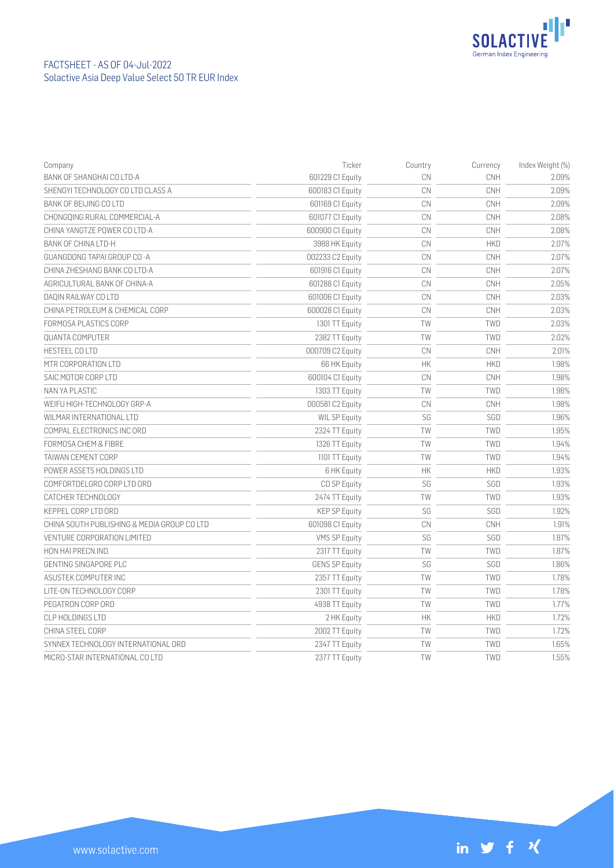

| Company                                     | Ticker                | Country   | Currency   | Index Weight (%) |
|---------------------------------------------|-----------------------|-----------|------------|------------------|
| BANK OF SHANGHAI CO LTD-A                   | 601229 C1 Equity      | CN        | CNH        | 2.09%            |
| SHENGYI TECHNOLOGY CO LTD CLASS A           | 600183 C1 Equity      | CN        | CNH        | 2.09%            |
| BANK OF BEIJING CO LTD                      | 601169 C1 Equity      | CN        | CNH        | 2.09%            |
| CHONGQING RURAL COMMERCIAL-A                | 601077 C1 Equity      | CN        | CNH        | 2.08%            |
| CHINA YANGTZE POWER CO LTD-A                | 600900 C1 Equity      | CN        | CNH        | 2.08%            |
| BANK OF CHINA LTD-H                         | 3988 HK Equity        | CN        | <b>HKD</b> | 2.07%            |
| GUANGDONG TAPAI GROUP CO-A                  | 002233 C2 Equity      | CN        | CNH        | 2.07%            |
| CHINA ZHESHANG BANK CO LTD-A                | 601916 C1 Equity      | CN        | CNH        | 2.07%            |
| AGRICULTURAL BANK OF CHINA-A                | 601288 C1 Equity      | CN        | CNH        | 2.05%            |
| DAQIN RAILWAY CO LTD                        | 601006 C1 Equity      | CN        | CNH        | 2.03%            |
| CHINA PETROLEUM & CHEMICAL CORP             | 600028 C1 Equity      | CN        | CNH        | 2.03%            |
| FORMOSA PLASTICS CORP                       | 1301 TT Equity        | TW        | <b>TWD</b> | 2.03%            |
| <b>OUANTA COMPUTER</b>                      | 2382 TT Equity        | TW        | TWD        | 2.02%            |
| HESTEEL COLTD                               | 000709 C2 Equity      | CN        | CNH        | 2.01%            |
| MTR CORPORATION LTD                         | 66 HK Equity          | НK        | <b>HKD</b> | 1.98%            |
| SAIC MOTOR CORP LTD                         | 600104 C1 Equity      | CN        | CNH        | 1.98%            |
| NAN YA PLASTIC                              | 1303 TT Equity        | TW        | TWD        | 1.98%            |
| WEIFU HIGH-TECHNOLOGY GRP-A                 | 000581 C2 Equity      | CN        | CNH        | 1.98%            |
| WILMAR INTERNATIONAL LTD                    | WIL SP Equity         | SG        | SGD        | 1.96%            |
| COMPAL ELECTRONICS INC ORD                  | 2324 TT Equity        | TW        | TWD        | 1.95%            |
| FORMOSA CHEM & FIBRE                        | 1326 TT Equity        | TW        | TWD        | 1.94%            |
| TAIWAN CEMENT CORP                          | 1101 TT Equity        | TW        | TWD        | 1.94%            |
| POWER ASSETS HOLDINGS LTD                   | 6 HK Equity           | НK        | <b>HKD</b> | 1.93%            |
| COMFORTDELGRO CORP LTD ORD                  | CD SP Equity          | SG        | SGD        | 1.93%            |
| CATCHER TECHNOLOGY                          | 2474 TT Equity        | TW        | <b>TWD</b> | 1.93%            |
| KEPPEL CORP LTD ORD                         | <b>KEP SP Equity</b>  | SG        | SGD        | 1.92%            |
| CHINA SOUTH PUBLISHING & MEDIA GROUP CO LTD | 601098 C1 Equity      | CN        | CNH        | 1.91%            |
| <b>VENTURE CORPORATION LIMITED</b>          | <b>VMS SP Equity</b>  | SG        | SGD        | 1.87%            |
| HON HAI PRECN.IND.                          | 2317 TT Equity        | TW        | TWD        | 1.87%            |
| GENTING SINGAPORE PLC                       | <b>GENS SP Equity</b> | SG        | SGD        | 1.86%            |
| ASUSTEK COMPUTER INC                        | 2357 TT Equity        | TW        | TWD        | 1.78%            |
| LITE-ON TECHNOLOGY CORP                     | 2301 TT Equity        | TW        | TWD        | 1.78%            |
| PEGATRON CORP ORD                           | 4938 TT Equity        | TW        | TWD        | 1.77%            |
| CLP HOLDINGS LTD                            | 2 HK Equity           | <b>HK</b> | <b>HKD</b> | 1.72%            |
| CHINA STEEL CORP                            | 2002 TT Equity        | TW        | <b>TWD</b> | 1.72%            |
| SYNNEX TECHNOLOGY INTERNATIONAL ORD         | 2347 TT Equity        | TW        | TWD        | 1.65%            |
| MICRO-STAR INTERNATIONAL CO LTD             | 2377 TT Equity        | <b>TW</b> | <b>TWD</b> | 1.55%            |